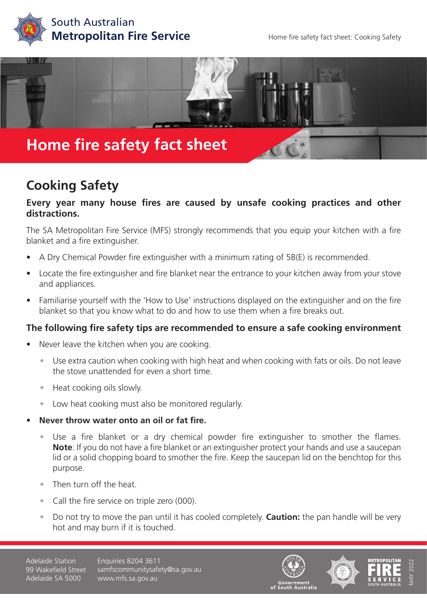



## **Cooking Safety**

## **Every year many house fires are caused by unsafe cooking practices and other distractions.**

The SA Metropolitan Fire Service (MFS) strongly recommends that you equip your kitchen with a fire blanket and a fire extinguisher.

- A Dry Chemical Powder fire extinguisher with a minimum rating of 5B(E) is recommended.
- Locate the fire extinguisher and fire blanket near the entrance to your kitchen away from your stove and appliances.
- Familiarise yourself with the 'How to Use' instructions displayed on the extinguisher and on the fire blanket so that you know what to do and how to use them when a fire breaks out.

## **The following fire safety tips are recommended to ensure a safe cooking environment**

- Never leave the kitchen when you are cooking.
	- Use extra caution when cooking with high heat and when cooking with fats or oils. Do not leave the stove unattended for even a short time.
	- Heat cooking oils slowly.
	- Low heat cooking must also be monitored regularly.
- **• Never throw water onto an oil or fat fire.**
	- Use a fire blanket or a dry chemical powder fire extinguisher to smother the flames. **Note**: If you do not have a fire blanket or an extinguisher protect your hands and use a saucepan lid or a solid chopping board to smother the fire. Keep the saucepan lid on the benchtop for this purpose.
	- Then turn off the heat.
	- Call the fire service on triple zero (000).
	- Do not try to move the pan until it has cooled completely. **Caution:** the pan handle will be very hot and may burn if it is touched.

Adelaide Station 99 Wakefield Street Adelaide SA 5000

Enquiries 8204 3611 samfscommunitysafety@sa.gov.au www.mfs.sa.gov.au